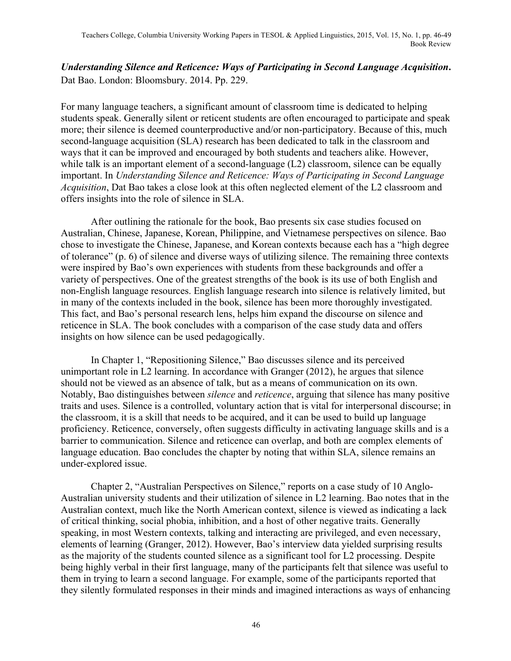## *Understanding Silence and Reticence: Ways of Participating in Second Language Acquisition***.**  Dat Bao. London: Bloomsbury. 2014. Pp. 229.

For many language teachers, a significant amount of classroom time is dedicated to helping students speak. Generally silent or reticent students are often encouraged to participate and speak more; their silence is deemed counterproductive and/or non-participatory. Because of this, much second-language acquisition (SLA) research has been dedicated to talk in the classroom and ways that it can be improved and encouraged by both students and teachers alike. However, while talk is an important element of a second-language (L2) classroom, silence can be equally important. In *Understanding Silence and Reticence: Ways of Participating in Second Language Acquisition*, Dat Bao takes a close look at this often neglected element of the L2 classroom and offers insights into the role of silence in SLA.

After outlining the rationale for the book, Bao presents six case studies focused on Australian, Chinese, Japanese, Korean, Philippine, and Vietnamese perspectives on silence. Bao chose to investigate the Chinese, Japanese, and Korean contexts because each has a "high degree of tolerance" (p. 6) of silence and diverse ways of utilizing silence. The remaining three contexts were inspired by Bao's own experiences with students from these backgrounds and offer a variety of perspectives. One of the greatest strengths of the book is its use of both English and non-English language resources. English language research into silence is relatively limited, but in many of the contexts included in the book, silence has been more thoroughly investigated. This fact, and Bao's personal research lens, helps him expand the discourse on silence and reticence in SLA. The book concludes with a comparison of the case study data and offers insights on how silence can be used pedagogically.

In Chapter 1, "Repositioning Silence," Bao discusses silence and its perceived unimportant role in L2 learning. In accordance with Granger (2012), he argues that silence should not be viewed as an absence of talk, but as a means of communication on its own. Notably, Bao distinguishes between *silence* and *reticence*, arguing that silence has many positive traits and uses. Silence is a controlled, voluntary action that is vital for interpersonal discourse; in the classroom, it is a skill that needs to be acquired, and it can be used to build up language proficiency. Reticence, conversely, often suggests difficulty in activating language skills and is a barrier to communication. Silence and reticence can overlap, and both are complex elements of language education. Bao concludes the chapter by noting that within SLA, silence remains an under-explored issue.

Chapter 2, "Australian Perspectives on Silence," reports on a case study of 10 Anglo-Australian university students and their utilization of silence in L2 learning. Bao notes that in the Australian context, much like the North American context, silence is viewed as indicating a lack of critical thinking, social phobia, inhibition, and a host of other negative traits. Generally speaking, in most Western contexts, talking and interacting are privileged, and even necessary, elements of learning (Granger, 2012). However, Bao's interview data yielded surprising results as the majority of the students counted silence as a significant tool for L2 processing. Despite being highly verbal in their first language, many of the participants felt that silence was useful to them in trying to learn a second language. For example, some of the participants reported that they silently formulated responses in their minds and imagined interactions as ways of enhancing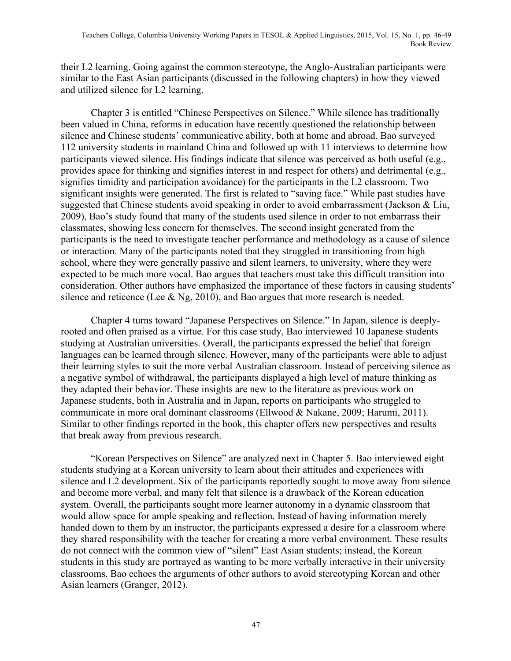their L2 learning. Going against the common stereotype, the Anglo-Australian participants were similar to the East Asian participants (discussed in the following chapters) in how they viewed and utilized silence for L2 learning.

Chapter 3 is entitled "Chinese Perspectives on Silence." While silence has traditionally been valued in China, reforms in education have recently questioned the relationship between silence and Chinese students' communicative ability, both at home and abroad. Bao surveyed 112 university students in mainland China and followed up with 11 interviews to determine how participants viewed silence. His findings indicate that silence was perceived as both useful (e.g., provides space for thinking and signifies interest in and respect for others) and detrimental (e.g., signifies timidity and participation avoidance) for the participants in the L2 classroom. Two significant insights were generated. The first is related to "saving face." While past studies have suggested that Chinese students avoid speaking in order to avoid embarrassment (Jackson & Liu, 2009), Bao's study found that many of the students used silence in order to not embarrass their classmates, showing less concern for themselves. The second insight generated from the participants is the need to investigate teacher performance and methodology as a cause of silence or interaction. Many of the participants noted that they struggled in transitioning from high school, where they were generally passive and silent learners, to university, where they were expected to be much more vocal. Bao argues that teachers must take this difficult transition into consideration. Other authors have emphasized the importance of these factors in causing students' silence and reticence (Lee & Ng, 2010), and Bao argues that more research is needed.

Chapter 4 turns toward "Japanese Perspectives on Silence." In Japan, silence is deeplyrooted and often praised as a virtue. For this case study, Bao interviewed 10 Japanese students studying at Australian universities. Overall, the participants expressed the belief that foreign languages can be learned through silence. However, many of the participants were able to adjust their learning styles to suit the more verbal Australian classroom. Instead of perceiving silence as a negative symbol of withdrawal, the participants displayed a high level of mature thinking as they adapted their behavior. These insights are new to the literature as previous work on Japanese students, both in Australia and in Japan, reports on participants who struggled to communicate in more oral dominant classrooms (Ellwood & Nakane, 2009; Harumi, 2011). Similar to other findings reported in the book, this chapter offers new perspectives and results that break away from previous research.

"Korean Perspectives on Silence" are analyzed next in Chapter 5. Bao interviewed eight students studying at a Korean university to learn about their attitudes and experiences with silence and L2 development. Six of the participants reportedly sought to move away from silence and become more verbal, and many felt that silence is a drawback of the Korean education system. Overall, the participants sought more learner autonomy in a dynamic classroom that would allow space for ample speaking and reflection. Instead of having information merely handed down to them by an instructor, the participants expressed a desire for a classroom where they shared responsibility with the teacher for creating a more verbal environment. These results do not connect with the common view of "silent" East Asian students; instead, the Korean students in this study are portrayed as wanting to be more verbally interactive in their university classrooms. Bao echoes the arguments of other authors to avoid stereotyping Korean and other Asian learners (Granger, 2012).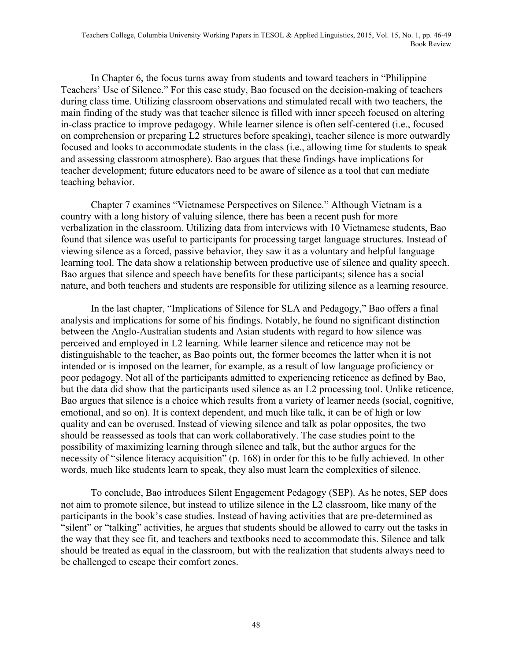In Chapter 6, the focus turns away from students and toward teachers in "Philippine Teachers' Use of Silence." For this case study, Bao focused on the decision-making of teachers during class time. Utilizing classroom observations and stimulated recall with two teachers, the main finding of the study was that teacher silence is filled with inner speech focused on altering in-class practice to improve pedagogy. While learner silence is often self-centered (i.e., focused on comprehension or preparing L2 structures before speaking), teacher silence is more outwardly focused and looks to accommodate students in the class (i.e., allowing time for students to speak and assessing classroom atmosphere). Bao argues that these findings have implications for teacher development; future educators need to be aware of silence as a tool that can mediate teaching behavior.

Chapter 7 examines "Vietnamese Perspectives on Silence." Although Vietnam is a country with a long history of valuing silence, there has been a recent push for more verbalization in the classroom. Utilizing data from interviews with 10 Vietnamese students, Bao found that silence was useful to participants for processing target language structures. Instead of viewing silence as a forced, passive behavior, they saw it as a voluntary and helpful language learning tool. The data show a relationship between productive use of silence and quality speech. Bao argues that silence and speech have benefits for these participants; silence has a social nature, and both teachers and students are responsible for utilizing silence as a learning resource.

In the last chapter, "Implications of Silence for SLA and Pedagogy," Bao offers a final analysis and implications for some of his findings. Notably, he found no significant distinction between the Anglo-Australian students and Asian students with regard to how silence was perceived and employed in L2 learning. While learner silence and reticence may not be distinguishable to the teacher, as Bao points out, the former becomes the latter when it is not intended or is imposed on the learner, for example, as a result of low language proficiency or poor pedagogy. Not all of the participants admitted to experiencing reticence as defined by Bao, but the data did show that the participants used silence as an L2 processing tool. Unlike reticence, Bao argues that silence is a choice which results from a variety of learner needs (social, cognitive, emotional, and so on). It is context dependent, and much like talk, it can be of high or low quality and can be overused. Instead of viewing silence and talk as polar opposites, the two should be reassessed as tools that can work collaboratively. The case studies point to the possibility of maximizing learning through silence and talk, but the author argues for the necessity of "silence literacy acquisition" (p. 168) in order for this to be fully achieved. In other words, much like students learn to speak, they also must learn the complexities of silence.

To conclude, Bao introduces Silent Engagement Pedagogy (SEP). As he notes, SEP does not aim to promote silence, but instead to utilize silence in the L2 classroom, like many of the participants in the book's case studies. Instead of having activities that are pre-determined as "silent" or "talking" activities, he argues that students should be allowed to carry out the tasks in the way that they see fit, and teachers and textbooks need to accommodate this. Silence and talk should be treated as equal in the classroom, but with the realization that students always need to be challenged to escape their comfort zones.